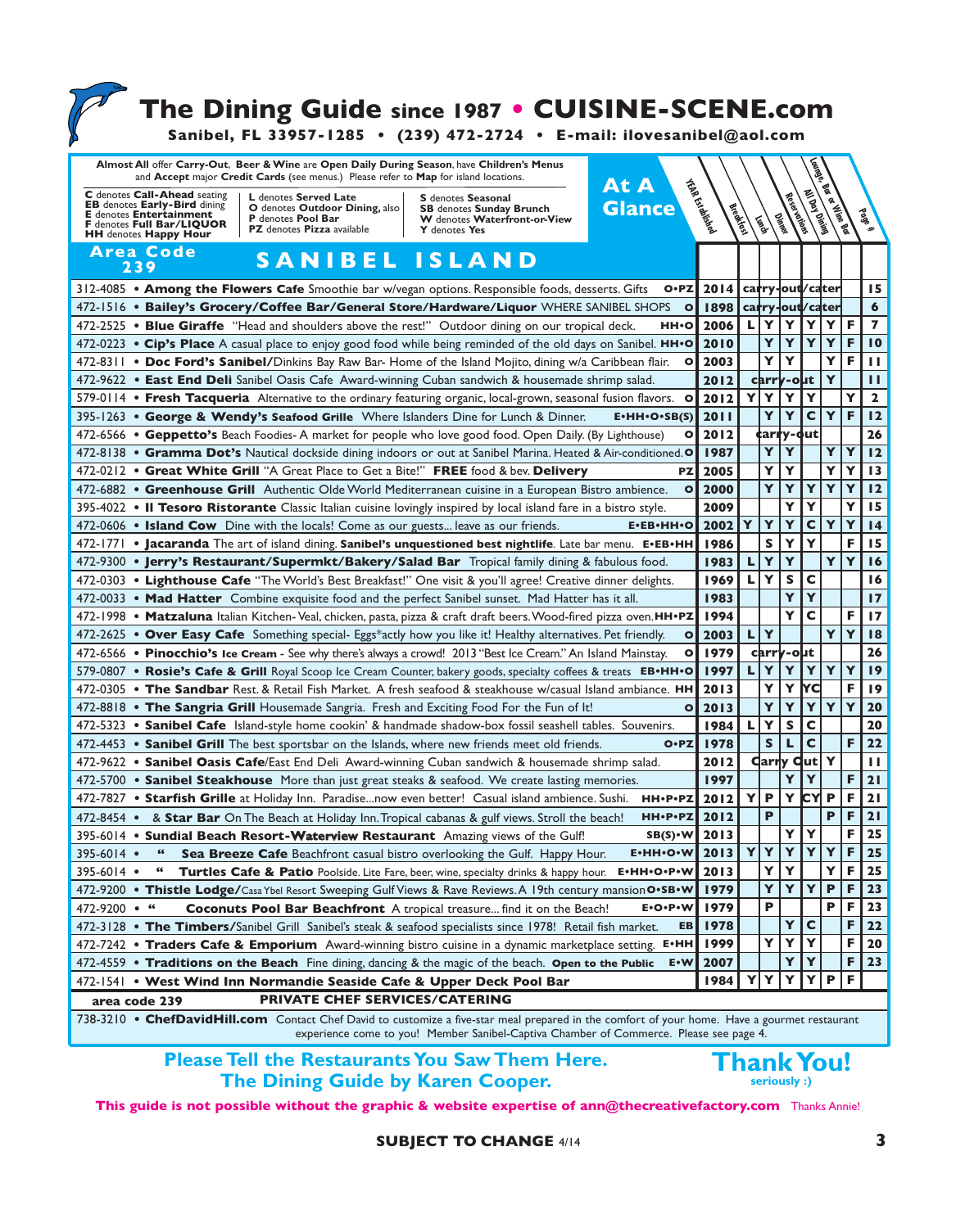## **The Dining Guide since 1987 • CUISINE-SCENE.com**

**Sanibel, FL 33957-1285 • (239) 472-2724 • E-mail: ilovesanibel@aol.com**

**Almost All** offer **Carry-Out**, **Beer &Wine** are **Open Daily During Season**, have **Children's Menus** and **Accept** major **Credit Cards** (see menus.) Please refer to **Map** for island locations. **Page # Lounge, Lis**<br>Bara **or Wine Bar All Day Dining Reservations Dinner Lunch Breakfast YEAR Established 2014 1898 2006 2010 2003 2012 2012 2011 2012 1987 2005 2000 2009 2002 1986 1983 1969 1983 1994 2003 1979 1997 2013 2013 1984 1978 2012 1997 2012 2012 2013 2013 2013 1979 1979 1978 1999 2007 1984 15 6 7 10 11 11 2 12 26 12 13 12 15 14 15 16 16 17 17 18 26 19 19 20 20 22 11 21 21 21 25 25 25 23 23 22 20 23 carry-out/cater carry-out/cater L YYYYF YYYYF YY YF carry-out Y YY Y Y Y YYCYF carry-out YY YY YY YY YYYYY YY Y YYYCYY**  $S|Y|Y$  F **LYY YY**  $L|Y|S|C$ **Y Y YC F L Y YY carry-out LYYYYY Y Y YC F YYYYY**  $L|Y|S|C$ **SLC F Carry Out Y YY F YP Y CY P F** P PF **YY F YY Y YY F YY YF YYYPF P** PF **YC F YYY F YY F YY Y Y P F C** denotes **Call-Ahead** seating **EB** denotes **Early-Bird** dining **E** denotes **Entertainment F** denotes **Full Bar/LIQUOR HH** denotes **Happy Hour L** denotes **Served Late O** denotes **Outdoor Dining,** also **P** denotes **Pool Bar PZ** denotes **Pizza** available **S** denotes **Seasonal SB** denotes **Sunday Brunch W** denotes **Waterfront-or-View Y** denotes **Yes S A N I B E L I S L A N D At A Glance** 312-4085 **• Among the Flowers Cafe** Smoothie bar w/vegan options. Responsible foods, desserts. Gifts 472-1516 **• Bailey's Grocery/Coffee Bar/General Store/Hardware/Liquor** WHERE SANIBEL SHOPS 472-2525 **• Blue Giraffe** "Head and shoulders above the rest!" Outdoor dining on our tropical deck. 472-0223 **• Cip's Place** A casual place to enjoy good food while being reminded of the old days on Sanibel. **HH•O** 472-8311 **• Doc Ford's Sanibel/**Dinkins Bay Raw Bar- Home of the Island Mojito, dining w/a Caribbean flair. 472-9622 **• East End Deli** Sanibel Oasis Cafe Award-winning Cuban sandwich & housemade shrimp salad. 579-0114 **• Fresh Tacqueria** Alternative to the ordinary featuring organic, local-grown, seasonal fusion flavors. 395-1263 **• George & Wendy's Seafood Grille** Where Islanders Dine for Lunch & Dinner. 472-6566 **• Geppetto's** Beach Foodies- A market for people who love good food. Open Daily. (By Lighthouse) 472-8138 **• Gramma Dot's** Nautical dockside dining indoors or out at Sanibel Marina. Heated & Air-conditioned. **O** 472-0212 **• Great White Grill** "A Great Place to Get a Bite!" **FREE** food & bev. **Delivery** 472-6882 **• Greenhouse Grill** Authentic Olde World Mediterranean cuisine in a European Bistro ambience. 395-4022 **• Il Tesoro Ristorante** Classic Italian cuisine lovingly inspired by local island fare in a bistro style. 472-0606 **• Island Cow** Dine with the locals! Come as our guests... leave as our friends. 472-1771 **• Jacaranda** The art of island dining. **Sanibel's unquestioned best nightlife**. Late bar menu. **E•EB•HH** 472-9300 **• Jerry's Restaurant/Supermkt/Bakery/Salad Bar** Tropical family dining & fabulous food. 472-0303 **• Lighthouse Cafe** "The World's Best Breakfast!" One visit & you'll agree! Creative dinner delights. 472-0033 **• Mad Hatter** Combine exquisite food and the perfect Sanibel sunset. Mad Hatter has it all. 472-1998 **• Matzaluna** Italian Kitchen- Veal, chicken, pasta, pizza & craft draft beers.Wood-fired pizza oven. **HH•PZ** 472-2625 **• Over Easy Cafe** Something special- Eggs\*actly how you like it! Healthy alternatives. Pet friendly. 472-6566 **• Pinocchio's Ice Cream** - See why there's always a crowd! 2013 "Best Ice Cream." An Island Mainstay. 579-0807 **• Rosie's Cafe & Grill** Royal Scoop Ice Cream Counter, bakery goods, specialty coffees & treats **EB•HH•O** 472-0305 **• The Sandbar** Rest. & Retail Fish Market. A fresh seafood & steakhouse w/casual Island ambiance. **HH** 472-8818 **• The Sangria Grill** Housemade Sangria. Fresh and Exciting Food For the Fun of It! 472-5323 **• Sanibel Cafe** Island-style home cookin' & handmade shadow-box fossil seashell tables. Souvenirs. 472-4453 **• Sanibel Grill** The best sportsbar on the Islands, where new friends meet old friends. 472-9622 **• Sanibel Oasis Cafe**/East End Deli Award-winning Cuban sandwich & housemade shrimp salad. 472-5700 **• Sanibel Steakhouse** More than just great steaks & seafood. We create lasting memories. 472-7827 **• Starfish Grille** at Holiday Inn. Paradise...now even better! Casual island ambience. Sushi. 472-8454 **•** & **Star Bar** On The Beach at Holiday Inn.Tropical cabanas & gulf views. Stroll the beach! 395-6014 **• Sundial Beach Resort-Waterview Restaurant** Amazing views of the Gulf! 395-6014 **• " Sea Breeze Cafe** Beachfront casual bistro overlooking the Gulf. Happy Hour. 395-6014 **• " Turtles Cafe & Patio** Poolside. Lite Fare, beer, wine, specialty drinks & happy hour. **E•HH•O•P•W** 472-9200 **• Thistle Lodge/**Casa Ybel Resort Sweeping Gulf Views & Rave Reviews.A 19th century mansion **O•SB•W** 472-9200 **• " Coconuts Pool Bar Beachfront** A tropical treasure... find it on the Beach! 472-3128 **• The Timbers/**Sanibel Grill Sanibel's steak & seafood specialists since 1978! Retail fish market. 472-7242 **• Traders Cafe & Emporium** Award-winning bistro cuisine in a dynamic marketplace setting. **E•HH** 472-4559 **• Traditions on the Beach** Fine dining, dancing & the magic of the beach. **Open to the Public** 472-1541 **• West Wind Inn Normandie Seaside Cafe & Upper Deck Pool Bar PRIVATE CHEF SERVICES/CATERING O•PZ O HH•O O O E•HH•O•SB(S) O PZ O E•EB•HH•O O O O O•PZ HH•P•PZ HH•P•PZ SB(S)•W E•HH•O•W E•O•P•W EB E•W Area Code 239 area code 239**

738-3210 **• ChefDavidHill.com** Contact Chef David to customize a five-star meal prepared in the comfort of your home. Have a gourmet restaurant experience come to you! Member Sanibel-Captiva Chamber of Commerce. Please see page 4.

> **Please Tell the RestaurantsYou SawThem Here. The Dining Guide by Karen Cooper.**

**ThankYou! seriously :)**

**This guide is not possible without the graphic & website expertise of ann@thecreativefactory.com** Thanks Annie!